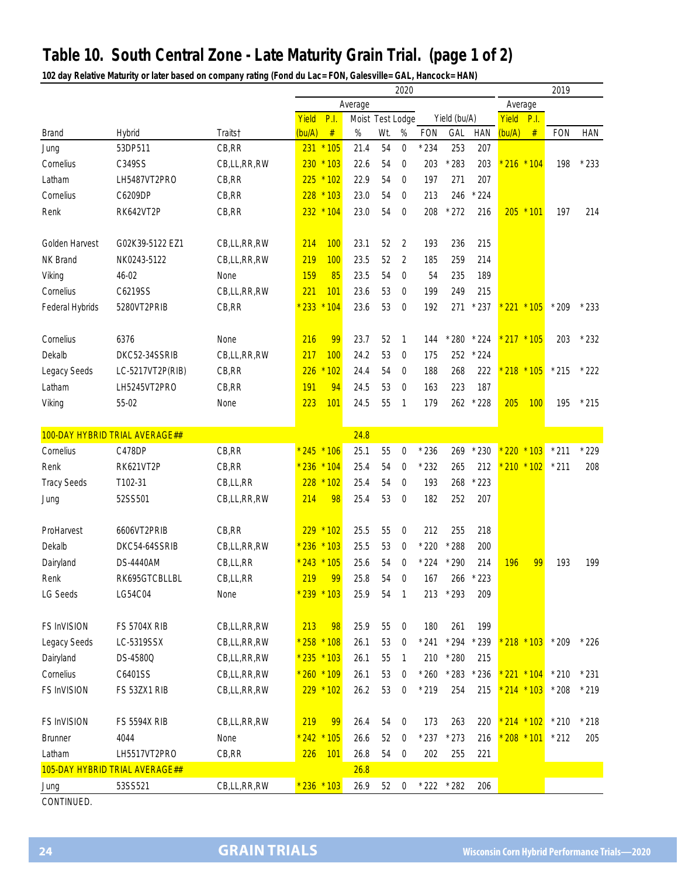## **Table 10. South Central Zone - Late Maturity Grain Trial. (page 1 of 2)**

**102 day Relative Maturity or later based on company rating (Fond du Lac= FON, Galesville= GAL, Hancock= HAN)**

|                       |                                |                            | 2020   |                 |         |                       |                  |            |                |            | 2019            |             |                                |            |
|-----------------------|--------------------------------|----------------------------|--------|-----------------|---------|-----------------------|------------------|------------|----------------|------------|-----------------|-------------|--------------------------------|------------|
|                       |                                |                            |        |                 | Average |                       |                  |            |                | Average    |                 |             |                                |            |
|                       |                                |                            | Yield  | P.I.            |         | Moist Test Lodge<br>% |                  |            | Yield (bu/A)   |            | Yield           | P.I.        |                                |            |
| <b>Brand</b>          | Hybrid                         | Traits†                    | (bu/A) | $\#$            | $\%$    | Wt.                   |                  | <b>FON</b> | GAL            | <b>HAN</b> | (bu/A)          | #           | <b>FON</b>                     | <b>HAN</b> |
| Jung                  | 53DP511                        | CB, RR                     |        | 231 * 105       | 21.4    | 54                    | $\mathbf 0$      | $*234$     | 253            | 207        |                 |             |                                |            |
| Cornelius             | C349SS                         | CB,LL,RR,RW                |        | $230 * 103$     | 22.6    | 54                    | $\mathbf 0$      | 203        | $*283$         | 203        |                 | $216 * 104$ | 198                            | $*233$     |
| Latham                | LH5487VT2PRO                   | CB, RR                     | 225    | $*102$          | 22.9    | 54                    | $\mathbf 0$      | 197        | 271            | 207        |                 |             |                                |            |
| Cornelius             | C6209DP                        | CB, RR                     |        | $228 * 103$     | 23.0    | 54                    | $\mathbf 0$      | 213        | 246            | $*224$     |                 |             |                                |            |
| Renk                  | RK642VT2P                      | CB, RR                     |        | 232 * 104       | 23.0    | 54                    | 0                | 208        | $*272$         | 216        |                 | $205 * 101$ | 197                            | 214        |
|                       |                                |                            |        |                 |         |                       |                  |            |                |            |                 |             |                                |            |
| <b>Golden Harvest</b> | G02K39-5122 EZ1                | CB,LL,RR,RW                | 214    | 100             | 23.1    | 52                    | $\overline{2}$   | 193        | 236            | 215        |                 |             |                                |            |
| <b>NK Brand</b>       | NK0243-5122                    | CB,LL,RR,RW                | 219    | 100             | 23.5    | 52                    | 2                | 185        | 259            | 214        |                 |             |                                |            |
| Viking                | 46-02                          | None                       | 159    | 85              | 23.5    | 54                    | $\mathbf 0$      | 54         | 235            | 189        |                 |             |                                |            |
| Cornelius             | C6219SS                        | CB,LL,RR,RW                | 221    | 101             | 23.6    | 53                    | $\mathbf 0$      | 199        | 249            | 215        |                 |             |                                |            |
| Federal Hybrids       | 5280VT2PRIB                    | CB, RR                     | $*233$ | $*104$          | 23.6    | 53                    | $\mathbf 0$      | 192        |                | 271 * 237  | * 221 * 105     |             | $*209$                         | $*233$     |
|                       |                                |                            |        |                 |         |                       |                  |            |                |            |                 |             |                                |            |
| Cornelius             | 6376                           | None                       | 216    | 99              | 23.7    | 52                    | $\mathbf{1}$     | 144        | $*280$         | $*224$     | * 217 * 105     |             | 203                            | $*232$     |
| Dekalb                | DKC52-34SSRIB                  | CB,LL,RR,RW                | 217    | 100             | 24.2    | 53                    | 0                | 175        |                | 252 * 224  |                 |             |                                |            |
| Legacy Seeds          | LC-5217VT2P(RIB)               | CB, RR                     | 226    | 102             | 24.4    | 54                    | $\mathbf 0$      | 188        | 268            | 222        |                 | * 218 * 105 | $*215$                         | $*222$     |
| Latham                | LH5245VT2PRO                   | CB, RR                     | 191    | 94              | 24.5    | 53                    | $\mathbf 0$      | 163        | 223            | 187        |                 |             |                                |            |
| Viking                | 55-02                          | None                       | 223    | 101             | 24.5    | 55                    | $\mathbf{1}$     | 179        | 262            | $*228$     | 205             | 100         | 195                            | $*215$     |
|                       |                                |                            |        |                 |         |                       |                  |            |                |            |                 |             |                                |            |
|                       | 100-DAY HYBRID TRIAL AVERAGE## |                            |        |                 | 24.8    |                       |                  |            |                |            |                 |             |                                |            |
| Cornelius             | C478DP                         | CB, RR                     |        | $* 245 * 106$   | 25.1    | 55                    | $\boldsymbol{0}$ | $*236$     | 269            | $*230$     | 220             | $*103$      | $*211$                         | $*229$     |
| Renk                  | <b>RK621VT2P</b>               | CB, RR                     |        | $* 236 * 104$   | 25.4    | 54                    | $\mathbf 0$      | $*232$     | 265            | 212        |                 | $210 * 102$ | $*211$                         | 208        |
| <b>Tracy Seeds</b>    | T102-31                        | CB,LL,RR                   |        | 228 * 102       | 25.4    | 54                    | $\mathbf 0$      | 193        | 268            | $*223$     |                 |             |                                |            |
|                       |                                | CB,LL,RR,RW                | 214    | 98              | 25.4    | 53                    |                  | 182        | 252            | 207        |                 |             |                                |            |
| Jung                  | 52SS501                        |                            |        |                 |         |                       | 0                |            |                |            |                 |             |                                |            |
| ProHarvest            | 6606VT2PRIB                    | CB, RR                     |        | $229 * 102$     | 25.5    | 55                    | $\mathbf{0}$     | 212        | 255            | 218        |                 |             |                                |            |
| Dekalb                | DKC54-64SSRIB                  | CB,LL,RR,RW                |        | * 236 * 103     | 25.5    | 53                    | $\mathbf 0$      | $*220$     | $*288$         | 200        |                 |             |                                |            |
| Dairyland             | <b>DS-4440AM</b>               | CB,LL,RR                   |        | $* 243 * 105$   | 25.6    | 54                    | $\mathbf 0$      | $*224$     | $*290$         | 214        | 196             | 99          | 193                            | 199        |
|                       |                                |                            |        | 99              |         |                       |                  |            |                |            |                 |             |                                |            |
| Renk                  | RK695GTCBLLBL                  | CB,LL,RR                   | 219    |                 | 25.8    | 54                    | $\mathbf 0$      | 167        | 266            | $*223$     |                 |             |                                |            |
| LG Seeds              | LG54C04                        | None                       |        | * 239 * 103     | 25.9    | 54                    | $\mathbf{1}$     |            | 213 * 293      | 209        |                 |             |                                |            |
| FS InVISION           | <b>FS 5704X RIB</b>            |                            | 213    | 98              | 25.9    | 55                    | $\mathbf 0$      | 180        | 261            | 199        |                 |             |                                |            |
| Legacy Seeds          | LC-5319SSX                     | CB,LL,RR,RW<br>CB,LL,RR,RW |        | $*$ 258 $*$ 108 | 26.1    | 53                    | $\boldsymbol{0}$ | $*241$     | $*294$         | $*239$     |                 |             | $218 * 103 * 209$              | $*226$     |
|                       |                                |                            |        |                 |         |                       |                  |            |                |            |                 |             |                                |            |
| Dairyland             | DS-4580Q                       | CB,LL,RR,RW                |        | * 235 * 103     | 26.1    | 55                    | $\mathbf{1}$     | 210        | $*280$         | 215        |                 |             |                                |            |
| Cornelius             | C6401SS                        | CB,LL,RR,RW                |        | $* 260 * 109$   | 26.1    | 53                    | $\mathbf 0$      | $*260$     | $^{\star}$ 283 | $*236$     |                 |             | $221 * 104 * 210$              | $*231$     |
| FS InVISION           | FS 53ZX1 RIB                   | CB,LL,RR,RW                |        | $229 * 102$     | 26.2    | 53                    | $\boldsymbol{0}$ | $*219$     | 254            | 215        |                 | * 214 * 103 | $*208$                         | $*219$     |
|                       |                                |                            |        |                 |         |                       |                  |            |                |            |                 |             |                                |            |
| FS InVISION           | <b>FS 5594X RIB</b>            | CB,LL,RR,RW                | 219    | 99              | 26.4    | 54                    | $\boldsymbol{0}$ | 173        | 263            | 220        | $*$ 214 $*$ 102 |             | $*210$                         | $*218$     |
| <b>Brunner</b>        | 4044                           | None                       |        | $* 242 * 105$   | 26.6    | 52                    | $\mathbf 0$      | $*237$     | $*273$         | 216        |                 |             | <mark>* 208 * 101</mark> * 212 | 205        |
| Latham                | LH5517VT2PRO                   | CB,RR                      | 226    | 101             | 26.8    | 54                    | $\boldsymbol{0}$ | 202        | 255            | 221        |                 |             |                                |            |
|                       | 105-DAY HYBRID TRIAL AVERAGE## |                            |        |                 | 26.8    |                       |                  |            |                |            |                 |             |                                |            |
| Jung                  | 53SS521                        | CB,LL,RR,RW                |        | $* 236 * 103$   | 26.9    | 52                    | $\boldsymbol{0}$ | $*222$     | $*282$         | 206        |                 |             |                                |            |
| CONTINUED.            |                                |                            |        |                 |         |                       |                  |            |                |            |                 |             |                                |            |